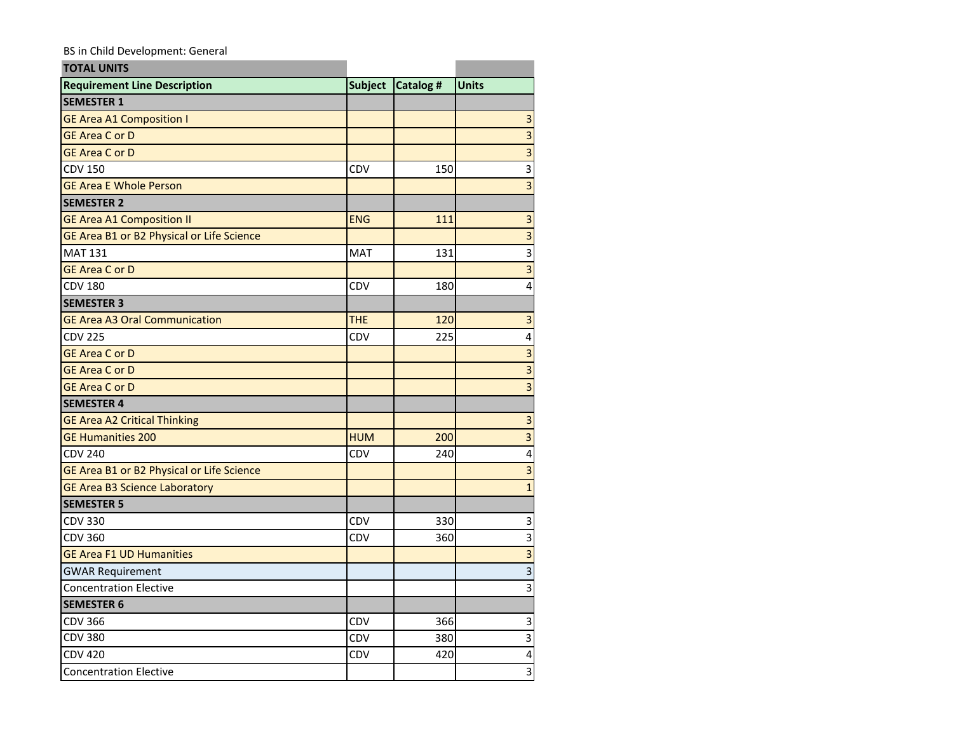## BS in Child Development: General

| <b>TOTAL UNITS</b>                        |                |           |                         |
|-------------------------------------------|----------------|-----------|-------------------------|
| <b>Requirement Line Description</b>       | <b>Subject</b> | Catalog # | <b>Units</b>            |
| <b>SEMESTER 1</b>                         |                |           |                         |
| <b>GE Area A1 Composition I</b>           |                |           | 3                       |
| <b>GE Area C or D</b>                     |                |           | 3                       |
| <b>GE Area C or D</b>                     |                |           | 3                       |
| <b>CDV 150</b>                            | CDV            | 150       | 3                       |
| <b>GE Area E Whole Person</b>             |                |           | $\overline{3}$          |
| <b>SEMESTER 2</b>                         |                |           |                         |
| <b>GE Area A1 Composition II</b>          | <b>ENG</b>     | 111       | $\overline{\mathbf{3}}$ |
| GE Area B1 or B2 Physical or Life Science |                |           | $\overline{3}$          |
| <b>MAT 131</b>                            | <b>MAT</b>     | 131       | 3                       |
| <b>GE Area C or D</b>                     |                |           | $\overline{3}$          |
| <b>CDV 180</b>                            | <b>CDV</b>     | 180       | 4                       |
| <b>SEMESTER 3</b>                         |                |           |                         |
| <b>GE Area A3 Oral Communication</b>      | <b>THE</b>     | 120       | 3                       |
| <b>CDV 225</b>                            | CDV            | 225       | 4                       |
| <b>GE Area C or D</b>                     |                |           | 3                       |
| <b>GE Area C or D</b>                     |                |           | 3                       |
| <b>GE Area C or D</b>                     |                |           | 3                       |
| <b>SEMESTER 4</b>                         |                |           |                         |
| <b>GE Area A2 Critical Thinking</b>       |                |           | 3                       |
| <b>GE Humanities 200</b>                  | <b>HUM</b>     | 200       | 3                       |
| <b>CDV 240</b>                            | CDV            | 240       | 4                       |
| GE Area B1 or B2 Physical or Life Science |                |           | 3                       |
| <b>GE Area B3 Science Laboratory</b>      |                |           | $\overline{1}$          |
| <b>SEMESTER 5</b>                         |                |           |                         |
| <b>CDV 330</b>                            | CDV            | 330       | 3                       |
| <b>CDV 360</b>                            | CDV            | 360       | 3                       |
| <b>GE Area F1 UD Humanities</b>           |                |           | 3                       |
| <b>GWAR Requirement</b>                   |                |           | 3                       |
| <b>Concentration Elective</b>             |                |           | 3                       |
| <b>SEMESTER 6</b>                         |                |           |                         |
| <b>CDV 366</b>                            | <b>CDV</b>     | 366       | 3                       |
| <b>CDV 380</b>                            | CDV            | 380       | 3                       |
| <b>CDV 420</b>                            | CDV            | 420       | 4                       |
| <b>Concentration Elective</b>             |                |           | 3                       |